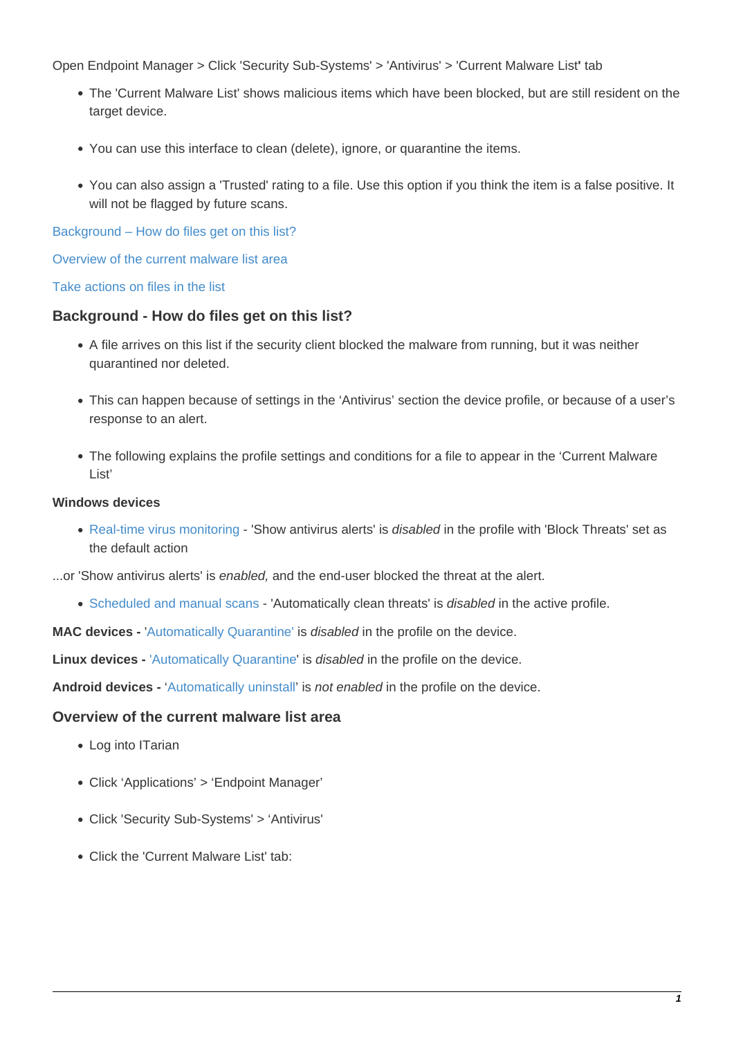Open Endpoint Manager > Click 'Security Sub-Systems' > 'Antivirus' > 'Current Malware List**'** tab

- The 'Current Malware List' shows malicious items which have been blocked, but are still resident on the target device.
- You can use this interface to clean (delete), ignore, or quarantine the items.
- You can also assign a 'Trusted' rating to a file. Use this option if you think the item is a false positive. It will not be flagged by future scans.

[Background – How do files get on this list?](#page-0-0)

[Overview of the current malware list area](#page-0-1)

[Take actions on files in the list](#page-1-0)

### <span id="page-0-0"></span>**Background - How do files get on this list?**

- A file arrives on this list if the security client blocked the malware from running, but it was neither quarantined nor deleted.
- This can happen because of settings in the 'Antivirus' section the device profile, or because of a user's response to an alert.
- The following explains the profile settings and conditions for a file to appear in the 'Current Malware List'

#### **Windows devices**

• [Real-time virus monitoring](https://wiki.itarian.com/frontend/web/topic/how-to-configure-antivirus-settings-in-a-windows-profile#realtime_scan) - 'Show antivirus alerts' is disabled in the profile with 'Block Threats' set as the default action

...or 'Show antivirus alerts' is enabled, and the end-user blocked the threat at the alert.

• [Scheduled and manual scans](https://wiki.itarian.com/frontend/web/topic/how-to-configure-antivirus-settings-in-a-windows-profile#scan) - 'Automatically clean threats' is *disabled* in the active profile.

**MAC devices -** '[Automatically Quarantine'](https://community.itarian.com/help/topic-459-1-1005-14952-Antivirus-Settings-for-Mac-OS-Profile.html) is disabled in the profile on the device.

**Linux devices -** ['Automatically Quarantine](https://community.itarian.com/help/topic-459-1-1005-14999-Antivirus-Settings-for-Linux-Profile.html#linux_realtime_scanning)' is *disabled* in the profile on the device.

**Android devices -** '[Automatically uninstall'](https://community.itarian.com/help/topic-459-1-1005-15270-Configure-Android-Client-Antivirus-Settings.html) is not enabled in the profile on the device.

#### <span id="page-0-1"></span>**Overview of the current malware list area**

- Log into ITarian
- Click 'Applications' > 'Endpoint Manager'
- Click 'Security Sub-Systems' > 'Antivirus'
- Click the 'Current Malware List' tab: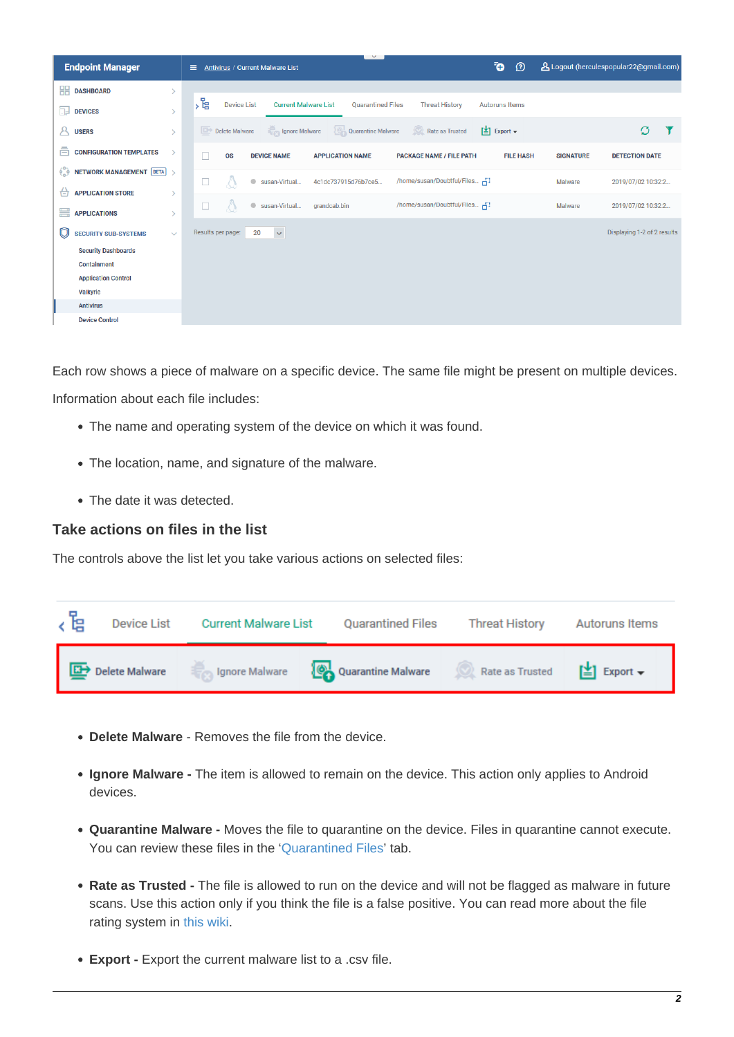| <b>Endpoint Manager</b>                                                              | $\sim$<br><b>Antivirus / Current Malware List</b><br>Ξ                                                       | Ō<br>$\circledcirc$                            | A Logout (herculespopular22@gmail.com)    |
|--------------------------------------------------------------------------------------|--------------------------------------------------------------------------------------------------------------|------------------------------------------------|-------------------------------------------|
| 嘂<br><b>DASHBOARD</b><br>$\mathcal{E}$                                               |                                                                                                              |                                                |                                           |
| 扉<br><b>DEVICES</b><br>$\rightarrow$                                                 | ,飞<br><b>Current Malware List</b><br><b>Device List</b><br><b>Quarantined Files</b><br><b>Threat History</b> | <b>Autoruns Items</b>                          |                                           |
| Α<br><b>USERS</b><br>$\rightarrow$                                                   | Rate as Trusted<br>Ignore Malware<br><b>Quarantine Malware</b><br>Delete Malware                             | $\left[\frac{1}{2}\right]$ Export $\leftarrow$ | Ø                                         |
| ā<br><b>CONFIGURATION TEMPLATES</b><br>$\rightarrow$                                 | <b>OS</b><br><b>DEVICE NAME</b><br><b>APPLICATION NAME</b><br><b>PACKAGE NAME / FILE PATH</b>                | <b>FILE HASH</b>                               | <b>SIGNATURE</b><br><b>DETECTION DATE</b> |
| $\begin{bmatrix} 0 & 0 \\ 0 & 0 \end{bmatrix}$ NETWORK MANAGEMENT BETA $\rightarrow$ | /home/susan/Doubtful/Files 금<br>□<br>$\bullet$<br>susan-Virtual<br>4c1dc737915d76b7ce5                       |                                                | Malware<br>2019/07/02 10:32:2             |
| 台<br><b>APPLICATION STORE</b><br>$\mathcal{P}$                                       |                                                                                                              |                                                |                                           |
| ₩<br><b>APPLICATIONS</b><br>$\mathcal{P}$                                            | /home/susan/Doubtful/Files -<br>Q<br>susan-Virtual<br>$\qquad \qquad \bullet$<br>grandcab.bin                |                                                | Malware<br>2019/07/02 10:32:2             |
| O<br><b>SECURITY SUB-SYSTEMS</b><br>$\checkmark$                                     | $\bar{\mathbf{v}}$<br>Results per page:<br>20                                                                |                                                | Displaying 1-2 of 2 results               |
| <b>Security Dashboards</b>                                                           |                                                                                                              |                                                |                                           |
| <b>Containment</b>                                                                   |                                                                                                              |                                                |                                           |
| <b>Application Control</b>                                                           |                                                                                                              |                                                |                                           |
| <b>Valkyrie</b>                                                                      |                                                                                                              |                                                |                                           |
| <b>Antivirus</b>                                                                     |                                                                                                              |                                                |                                           |
| <b>Device Control</b>                                                                |                                                                                                              |                                                |                                           |

Each row shows a piece of malware on a specific device. The same file might be present on multiple devices. Information about each file includes:

- The name and operating system of the device on which it was found.
- The location, name, and signature of the malware.
- The date it was detected.

## <span id="page-1-0"></span>**Take actions on files in the list**

The controls above the list let you take various actions on selected files:



- **Delete Malware** Removes the file from the device.
- **Ignore Malware** The item is allowed to remain on the device. This action only applies to Android devices.
- **Quarantine Malware** Moves the file to quarantine on the device. Files in quarantine cannot execute. You can review these files in the ['Quarantined Files](https://wiki.itarian.com/frontend/web/topic/how-to-manage-quarantined-items-in-endpoint-manager)' tab.
- **Rate as Trusted** The file is allowed to run on the device and will not be flagged as malware in future scans. Use this action only if you think the file is a false positive. You can read more about the file rating system in [this wiki.](https://wiki.itarian.com/frontend/web/topic/how-to-set-admin-rating-for-an-application-in-endpoint-manager)
- **Export Export the current malware list to a .csv file.**